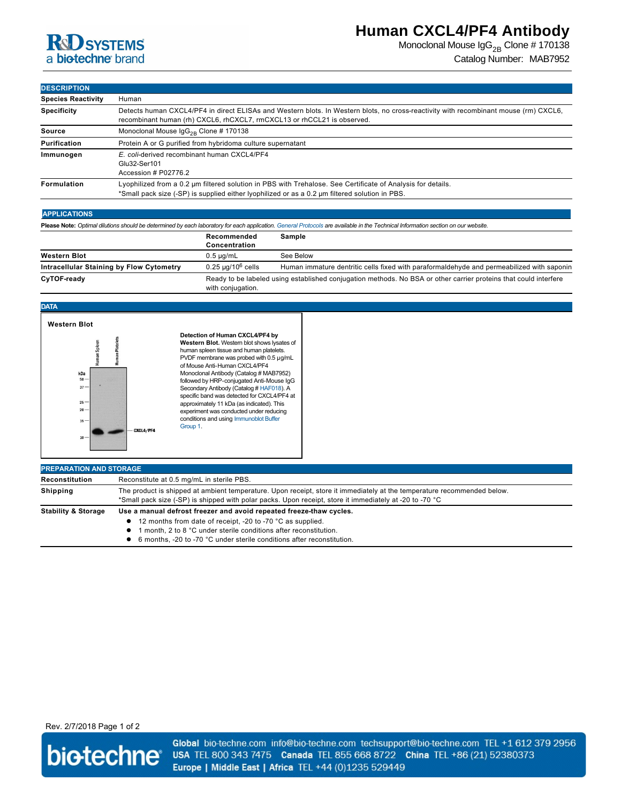

# **Human CXCL4/PF4 Antibody**

Monoclonal Mouse  $\lg G_{2B}$  Clone # 170138 Catalog Number: MAB7952

**DESCRIPTION**

| <b>Species Reactivity</b> | Human                                                                                                                                                                                                           |  |
|---------------------------|-----------------------------------------------------------------------------------------------------------------------------------------------------------------------------------------------------------------|--|
| <b>Specificity</b>        | Detects human CXCL4/PF4 in direct ELISAs and Western blots. In Western blots, no cross-reactivity with recombinant mouse (rm) CXCL6,<br>recombinant human (rh) CXCL6, rhCXCL7, rmCXCL13 or rhCCL21 is observed. |  |
| Source                    | Monoclonal Mouse $\lg G_{2R}$ Clone # 170138                                                                                                                                                                    |  |
| Purification              | Protein A or G purified from hybridoma culture supernatant                                                                                                                                                      |  |
| Immunogen                 | E. coli-derived recombinant human CXCL4/PF4<br>Glu32-Ser101<br>Accession # P02776.2                                                                                                                             |  |
| <b>Formulation</b>        | Lyophilized from a 0.2 µm filtered solution in PBS with Trehalose. See Certificate of Analysis for details.<br>*Small pack size (-SP) is supplied either lyophilized or as a 0.2 µm filtered solution in PBS.   |  |

## **APPLICATIONS**

Please Note: Optimal dilutions should be determined by each laboratory for each application. [General Protocols](http://www.rndsystems.com/resources/protocols-troubleshooting-guides) are available in the Technical Information section on our website.

|                                          | Recommended<br>Concentration | Sample                                                                                                           |
|------------------------------------------|------------------------------|------------------------------------------------------------------------------------------------------------------|
| <b>Western Blot</b>                      | $0.5 \mu$ a/mL               | See Below                                                                                                        |
| Intracellular Staining by Flow Cytometry | $0.25$ µg/10 $^6$ cells      | Human immature dentritic cells fixed with paraformaldehyde and permeabilized with saponin                        |
| CyTOF-ready                              | with conjugation.            | Ready to be labeled using established conjugation methods. No BSA or other carrier proteins that could interfere |

### **DATA**



#### **Detection of Human CXCL4/PF4 by Western Blot.** Western blot shows lysates of human spleen tissue and human platelets. PVDF membrane was probed with 0.5 µg/mL of Mouse Anti-Human CXCL4/PF4 Monoclonal Antibody (Catalog # MAB7952) followed by HRP-conjugated Anti-Mouse IgG Secondary Antibody (Catalog # [HAF018\)](http://www.rndsystems.com/product_results.aspx?k=HAF018). A specific band was detected for CXCL4/PF4 at approximately 11 kDa (as indicated). This experiment was conducted under reducing [conditions and using Immunoblot Buffer](http://www.rndsystems.com/go/westernblotconditions)  Group 1.

| <b>PREPARATION AND STORAGE</b> |                                                                                                                                                                                                                                                                                               |  |
|--------------------------------|-----------------------------------------------------------------------------------------------------------------------------------------------------------------------------------------------------------------------------------------------------------------------------------------------|--|
| Reconstitution                 | Reconstitute at 0.5 mg/mL in sterile PBS.                                                                                                                                                                                                                                                     |  |
| <b>Shipping</b>                | The product is shipped at ambient temperature. Upon receipt, store it immediately at the temperature recommended below.<br>*Small pack size (-SP) is shipped with polar packs. Upon receipt, store it immediately at -20 to -70 °C                                                            |  |
| <b>Stability &amp; Storage</b> | Use a manual defrost freezer and avoid repeated freeze-thaw cycles.<br>• 12 months from date of receipt, -20 to -70 °C as supplied.<br>month. 2 to 8 °C under sterile conditions after reconstitution.<br>6 months, -20 to -70 °C under sterile conditions after reconstitution.<br>$\bullet$ |  |

## Rev. 2/7/2018 Page 1 of 2



Global bio-techne.com info@bio-techne.com techsupport@bio-techne.com TEL +1 612 379 2956 USA TEL 800 343 7475 Canada TEL 855 668 8722 China TEL +86 (21) 52380373 Europe | Middle East | Africa TEL +44 (0)1235 529449